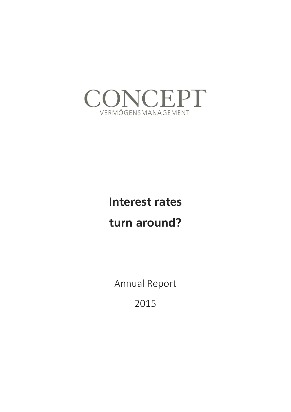

# **Interest rates**

## **turn around?**

Annual Report

2015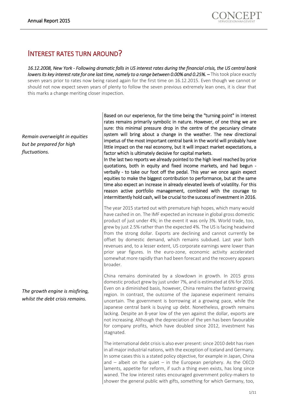### INTEREST RATES TURN AROUND?

*16.12.2008, New York - Following dramatic falls in US interest rates during the financial crisis, the US central bank lowers its key interest rate for one last time, namely to a range between 0.00% and 0.25%.* – This took place exactly seven years prior to rates now being raised again for the first time on 16.12.2015. Even though we cannot or should not now expect seven years of plenty to follow the seven previous extremely lean ones, it is clear that this marks a change meriting closer inspection.

*Remain overweight in equities but be prepared for high fluctuations.*

*The growth engine is misfiring, whilst the debt crisis remains.*

Based on our experience, for the time being the "turning point" in interest rates remains primarily symbolic in nature. However, of one thing we are sure: this minimal pressure drop in the centre of the pecuniary climate system will bring about a change in the weather. The new directional impetus of the most important central bank in the world will probably have little impact on the real economy, but it will impact market expectations, a factor which is ultimately decisive for capital markets.

In the last two reports we already pointed to the high level reached by price quotations, both in equity and fixed income markets, and had begun verbally - to take our foot off the pedal. This year we once again expect equities to make the biggest contribution to performance, but at the same time also expect an increase in already elevated levels of volatility. For this reason active portfolio management, combined with the courage to intermittently hold cash, will be crucial to the success of investment in 2016.

The year 2015 started out with premature high hopes, which many would have cashed in on. The IMF expected an increase in global gross domestic product of just under 4%; in the event it was only 3%. World trade, too, grew by just 2.5% rather than the expected 4%. The US is facing headwind from the strong dollar. Exports are declining and cannot currently be offset by domestic demand, which remains subdued. Last year both revenues and, to a lesser extent, US corporate earnings were lower than prior year figures. In the euro-zone, economic activity accelerated somewhat more rapidly than had been forecast and the recovery appears broader.

China remains dominated by a slowdown in growth. In 2015 gross domestic product grew by just under 7%, and is estimated at 6% for 2016. Even on a diminished basis, however, China remains the fastest-growing region. In contrast, the outcome of the Japanese experiment remains uncertain. The government is borrowing at a growing pace, while the Japanese central bank is buying up debt. Nonetheless, growth remains lacking. Despite an 8-year low of the yen against the dollar, exports are not increasing. Although the depreciation of the yen has been favourable for company profits, which have doubled since 2012, investment has stagnated.

The international debt crisis is also ever present: since 2010 debt has risen in all major industrial nations, with the exception of Iceland and Germany. In some cases this is a stated policy objective, for example in Japan, China and  $-$  albeit on the quiet  $-$  in the European periphery. As the OECD laments, appetite for reform, if such a thing even exists, has long since waned. The low interest rates encouraged government policy-makers to shower the general public with gifts, something for which Germany, too,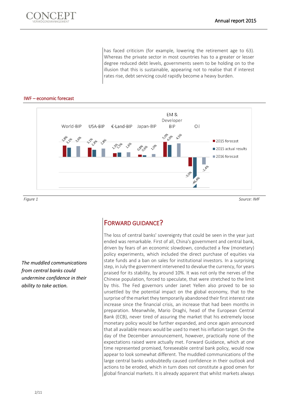

has faced criticism (for example, lowering the retirement age to 63). Whereas the private sector in most countries has to a greater or lesser degree reduced debt levels, governments seem to be holding on to the illusion that this is sustainable, appearing not to realise that if interest rates rise, debt servicing could rapidly become a heavy burden.

#### IWF – economic forecast



*Figure 1 Source: IMF*

*The muddled communications from central banks could undermine confidence in their ability to take action.*

### FORWARD GUIDANCE?

The loss of central banks' sovereignty that could be seen in the year just ended was remarkable. First of all, China's government and central bank, driven by fears of an economic slowdown, conducted a few (monetary) policy experiments, which included the direct purchase of equities via state funds and a ban on sales for institutional investors. In a surprising step, in July the government intervened to devalue the currency, for years praised for its stability, by around 10%. It was not only the nerves of the Chinese population, forced to speculate, that were stretched to the limit by this. The Fed governors under Janet Yellen also proved to be so unsettled by the potential impact on the global economy, that to the surprise of the market they temporarily abandoned their first interest rate increase since the financial crisis, an increase that had been months in preparation. Meanwhile, Mario Draghi, head of the European Central Bank (ECB), never tired of assuring the market that his extremely loose monetary policy would be further expanded, and once again announced that all available means would be used to meet his inflation target. On the day of the December announcement, however, practically none of the expectations raised were actually met. Forward Guidance, which at one time represented promised, foreseeable central bank policy, would now appear to look somewhat different. The muddled communications of the large central banks undoubtedly caused confidence in their outlook and actions to be eroded, which in turn does not constitute a good omen for global financial markets. It is already apparent that whilst markets always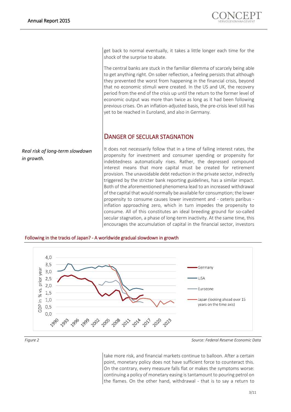*Real risk of long-term slowdown* 

*in growth.*



get back to normal eventually, it takes a little longer each time for the shock of the surprise to abate.

The central banks are stuck in the familiar dilemma of scarcely being able to get anything right. On sober reflection, a feeling persists that although they prevented the worst from happening in the financial crisis, beyond that no economic stimuli were created. In the US and UK, the recovery period from the end of the crisis up until the return to the former level of economic output was more than twice as long as it had been following previous crises. On an inflation-adjusted basis, the pre-crisis level still has yet to be reached in Euroland, and also in Germany.

#### DANGER OF SECULAR STAGNATION

It does not necessarily follow that in a time of falling interest rates, the propensity for investment and consumer spending or propensity for indebtedness automatically rises. Rather, the depressed compound interest means that more capital must be created for retirement provision. The unavoidable debt reduction in the private sector, indirectly triggered by the stricter bank reporting guidelines, has a similar impact. Both of the aforementioned phenomena lead to an increased withdrawal of the capital that would normally be available for consumption; the lower propensity to consume causes lower investment and - ceteris paribus inflation approaching zero, which in turn impedes the propensity to consume. All of this constitutes an ideal breeding ground for so-called secular stagnation, a phase of long-term inactivity. At the same time, this encourages the accumulation of capital in the financial sector, investors



#### Following in the tracks of Japan? - A worldwide gradual slowdown in growth

*Figure 2 Source: Federal Reserve Economic Data*

take more risk, and financial markets continue to balloon. After a certain point, monetary policy does not have sufficient force to counteract this. On the contrary, every measure falls flat or makes the symptoms worse: continuing a policy of monetary easing is tantamount to pouring petrol on the flames. On the other hand, withdrawal - that is to say a return to

3/11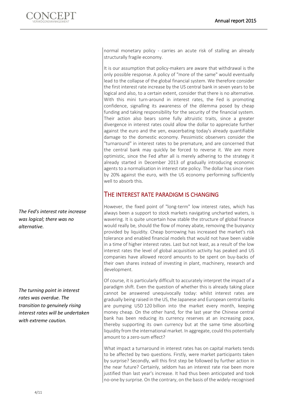*The Fed's interest rate increase was logical; there was no* 

*alternative.*

*The turning point in interest rates was overdue. The transition to genuinely rising interest rates will be undertaken with extreme caution.*

normal monetary policy - carries an acute risk of stalling an already structurally fragile economy.

It is our assumption that policy-makers are aware that withdrawal is the only possible response. A policy of "more of the same" would eventually lead to the collapse of the global financial system. We therefore consider the first interest rate increase by the US central bank in seven years to be logical and also, to a certain extent, consider that there is no alternative. With this mini turn-around in interest rates, the Fed is promoting confidence, signalling its awareness of the dilemma posed by cheap funding and taking responsibility for the security of the financial system. Their action also bears some fully altruistic traits, since a greater divergence in interest rates could allow the dollar to appreciate further against the euro and the yen, exacerbating today's already quantifiable damage to the domestic economy. Pessimistic observers consider the "turnaround" in interest rates to be premature, and are concerned that the central bank may quickly be forced to reverse it. We are more optimistic, since the Fed after all is merely adhering to the strategy it already started in December 2013 of gradually introducing economic agents to a normalisation in interest rate policy. The dollar has since risen by 20% against the euro, with the US economy performing sufficiently well to absorb this.

#### THE INTEREST RATE PARADIGM IS CHANGING

However, the fixed point of "long-term" low interest rates, which has always been a support to stock markets navigating uncharted waters, is wavering. It is quite uncertain how stable the structure of global finance would really be, should the flow of money abate, removing the buoyancy provided by liquidity. Cheap borrowing has increased the market's risk tolerance and enabled financial models that would not have been viable in a time of higher interest rates. Last but not least, as a result of the low interest rates the level of global acquisition activity has peaked and US companies have allowed record amounts to be spent on buy-backs of their own shares instead of investing in plant, machinery, research and development.

Of course, it is particularly difficult to accurately interpret the impact of a paradigm shift. Even the question of whether this is already taking place cannot be answered unequivocally today: whilst interest rates are gradually being raised in the US, the Japanese and European central banks are pumping USD 120 billion into the market every month, keeping money cheap. On the other hand, for the last year the Chinese central bank has been reducing its currency reserves at an increasing pace, thereby supporting its own currency but at the same time absorbing liquidity from the international market. In aggregate, could this potentially amount to a zero-sum effect?

What impact a turnaround in interest rates has on capital markets tends to be affected by two questions. Firstly, were market participants taken by surprise? Secondly, will this first step be followed by further action in the near future? Certainly, seldom has an interest rate rise been more justified than last year's increase. It had thus been anticipated and took no-one by surprise. On the contrary, on the basis of the widely-recognised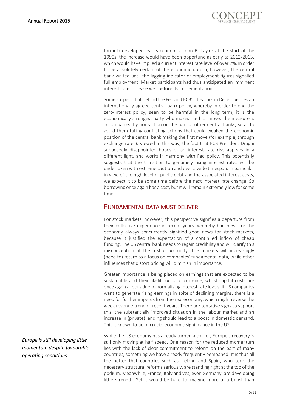formula developed by US economist John B. Taylor at the start of the 1990s, the increase would have been opportune as early as 2012/2013, which would have implied a current interest rate level of over 2%. In order to be absolutely certain of the economic upturn, however, the central bank waited until the lagging indicator of employment figures signalled full employment. Market participants had thus anticipated an imminent interest rate increase well before its implementation.

Some suspect that behind the Fed and ECB's theatrics in December lies an internationally agreed central bank policy, whereby in order to end the zero-interest policy, seen to be harmful in the long term, it is the economically strongest party who makes the first move. The measure is accompanied by non-action on the part of other central banks, so as to avoid them taking conflicting actions that could weaken the economic position of the central bank making the first move (for example, through exchange rates). Viewed in this way, the fact that ECB President Draghi supposedly disappointed hopes of an interest rate rise appears in a different light, and works in harmony with Fed policy. This potentially suggests that the transition to genuinely rising interest rates will be undertaken with extreme caution and over a wide timespan. In particular in view of the high level of public debt and the associated interest costs, we expect it to be some time before the next interest rate change. So borrowing once again has a cost, but it will remain extremely low for some time.

#### FUNDAMENTAL DATA MUST DELIVER

For stock markets, however, this perspective signifies a departure from their collective experience in recent years, whereby bad news for the economy always concurrently signified good news for stock markets, because it justified the expectation of a continued inflow of cheap funding. The US central bank needs to regain credibility and will clarify this misconception at the first opportunity. The markets will increasingly (need to) return to a focus on companies' fundamental data, while other influences that distort pricing will diminish in importance.

Greater importance is being placed on earnings that are expected to be sustainable and their likelihood of occurrence, whilst capital costs are once again a focus due to normalising interest rate levels. If US companies want to generate rising earnings in spite of declining margins, there is a need for further impetus from the real economy, which might reverse the week revenue trend of recent years. There are tentative signs to support this: the substantially improved situation in the labour market and an increase in (private) lending should lead to a boost in domestic demand. This is known to be of crucial economic significance in the US.

While the US economy has already turned a corner, Europe's recovery is still only moving at half speed. One reason for the reduced momentum lies with the lack of clear commitment to reform on the part of many countries, something we have already frequently bemoaned. It is thus all the better that countries such as Ireland and Spain, who took the necessary structural reforms seriously, are standing right at the top of the podium. Meanwhile, France, Italy and yes, even Germany, are developing little strength. Yet it would be hard to imagine more of a boost than

*Europe is still developing little momentum despite favourable operating conditions*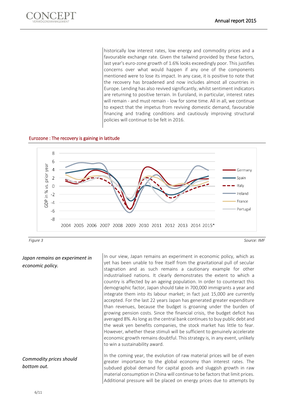

historically low interest rates, low energy and commodity prices and a favourable exchange rate. Given the tailwind provided by these factors, last year's euro-zone growth of 1.6% looks exceedingly poor. This justifies concerns over what would happen if any one of the components mentioned were to lose its impact. In any case, it is positive to note that the recovery has broadened and now includes almost all countries in Europe. Lending has also revived significantly, whilst sentiment indicators are returning to positive terrain. In Euroland, in particular, interest rates will remain - and must remain - low for some time. All in all, we continue to expect that the impetus from reviving domestic demand, favourable financing and trading conditions and cautiously improving structural policies will continue to be felt in 2016.

#### Eurozone : The recovery is gaining in latitude





*Japan remains an experiment in economic policy.*

#### *Commodity prices should bottom out.*

In our view, Japan remains an experiment in economic policy, which as yet has been unable to free itself from the gravitational pull of secular stagnation and as such remains a cautionary example for other industrialised nations. It clearly demonstrates the extent to which a country is affected by an ageing population. In order to counteract this demographic factor, Japan should take in 700,000 immigrants a year and integrate them into its labour market; in fact just 15,000 are currently accepted. For the last 22 years Japan has generated greater expenditure than revenues, because the budget is groaning under the burden of growing pension costs. Since the financial crisis, the budget deficit has averaged 8%. As long as the central bank continues to buy public debt and the weak yen benefits companies, the stock market has little to fear. However, whether these stimuli will be sufficient to genuinely accelerate economic growth remains doubtful. This strategy is, in any event, unlikely to win a sustainability award.

In the coming year, the evolution of raw material prices will be of even greater importance to the global economy than interest rates. The subdued global demand for capital goods and sluggish growth in raw material consumption in China will continue to be factors that limit prices. Additional pressure will be placed on energy prices due to attempts by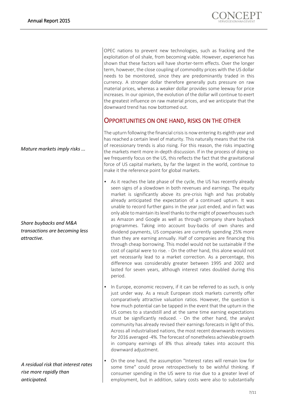*Mature markets imply risks ...*

*Share buybacks and M&A transactions are becoming less attractive.*

*A residual risk that interest rates rise more rapidly than anticipated.*

OPEC nations to prevent new technologies, such as fracking and the exploitation of oil shale, from becoming viable. However, experience has shown that these factors will have shorter-term effects. Over the longer term, however, the close coupling of commodity prices with the US dollar needs to be monitored, since they are predominantly traded in this currency. A stronger dollar therefore generally puts pressure on raw material prices, whereas a weaker dollar provides some leeway for price increases. In our opinion, the evolution of the dollar will continue to exert the greatest influence on raw material prices, and we anticipate that the downward trend has now bottomed out.

#### OPPORTUNITIES ON ONE HAND, RISKS ON THE OTHER

The upturn following the financial crisis is now entering its eighth year and has reached a certain level of maturity. This naturally means that the risk of recessionary trends is also rising. For this reason, the risks impacting the markets merit more in-depth discussion. If in the process of doing so we frequently focus on the US, this reflects the fact that the gravitational force of US capital markets, by far the largest in the world, continue to make it the reference point for global markets.

- As it reaches the late phase of the cycle, the US has recently already seen signs of a slowdown in both revenues and earnings. The equity market is significantly above its pre-crisis high and has probably already anticipated the expectation of a continued upturn. It was unable to record further gains in the year just ended, and in fact was only able to maintain its level thanks to the might of powerhouses such as Amazon and Google as well as through company share buyback programmes. Taking into account buy-backs of own shares and dividend payments, US companies are currently spending 25% more than they are earning annually. Half of companies are financing this through cheap borrowing. This model would not be sustainable if the cost of capital were to rise. - On the other hand, this alone would not yet necessarily lead to a market correction. As a percentage, this difference was considerably greater between 1995 and 2002 and lasted for seven years, although interest rates doubled during this period.
- In Europe, economic recovery, if it can be referred to as such, is only just under way. As a result European stock markets currently offer comparatively attractive valuation ratios. However, the question is how much potential can be tapped in the event that the upturn in the US comes to a standstill and at the same time earning expectations must be significantly reduced. - On the other hand, the analyst community has already revised their earnings forecasts in light of this. Across all industrialised nations, the most recent downwards revisions for 2016 averaged -4%. The forecast of nonetheless achievable growth in company earnings of 8% thus already takes into account this downward adjustment.
- On the one hand, the assumption "Interest rates will remain low for some time" could prove retrospectively to be wishful thinking. If consumer spending in the US were to rise due to a greater level of employment, but in addition, salary costs were also to substantially

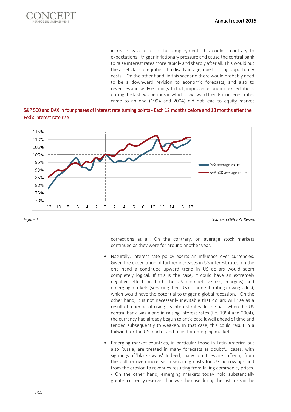

increase as a result of full employment, this could - contrary to expectations - trigger inflationary pressure and cause the central bank to raise interest rates more rapidly and sharply after all. This would put the asset class of equities at a disadvantage, due to rising opportunity costs. - On the other hand, in this scenario there would probably need to be a downward revision to economic forecasts, and also to revenues and lastly earnings. In fact, improved economic expectations during the last two periods in which downward trends in interest rates came to an end (1994 and 2004) did not lead to equity market





*Figure 4 Source: CONCEPT Research*

corrections at all. On the contrary, on average stock markets continued as they were for around another year.

- Naturally, interest rate policy exerts an influence over currencies. Given the expectation of further increases in US interest rates, on the one hand a continued upward trend in US dollars would seem completely logical. If this is the case, it could have an extremely negative effect on both the US (competitiveness, margins) and emerging markets (servicing their US dollar debt, rating downgrades), which would have the potential to trigger a global recession. - On the other hand, it is not necessarily inevitable that dollars will rise as a result of a period of rising US interest rates. In the past when the US central bank was alone in raising interest rates (i.e. 1994 and 2004), the currency had already begun to anticipate it well ahead of time and tended subsequently to weaken. In that case, this could result in a tailwind for the US market and relief for emerging markets.
- Emerging market countries, in particular those in Latin America but also Russia, are treated in many forecasts as doubtful cases, with sightings of 'black swans'. Indeed, many countries are suffering from the dollar-driven increase in servicing costs for US borrowings and from the erosion to revenues resulting from falling commodity prices. - On the other hand, emerging markets today hold substantially greater currency reserves than was the case during the last crisis in the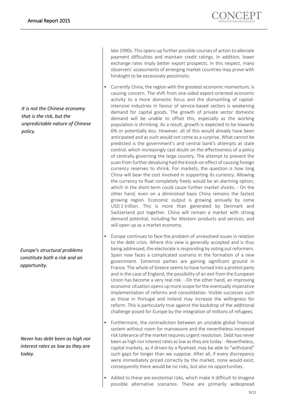*It is not the Chinese economy that is the risk, but the unpredictable nature of Chinese policy.*

*Europe's structural problems constitute both a risk and an opportunity.*

*Never has debt been as high nor interest rates as low as they are today.*

late 1990s. This opens up further possible courses of action to alleviate payment difficulties and maintain credit ratings. In addition, lower exchange rates imply better export prospects. In this respect, many observers' assessments of emerging market countries may prove with hindsight to be excessively pessimistic.

- Currently China, the region with the greatest economic momentum, is causing concern. The shift from one-sided export-oriented economic activity to a more domestic focus and the dismantling of capitalintensive industries in favour of service-based sectors is weakening demand for capital goods. The growth of private sector domestic demand will be unable to offset this, especially as the working population is shrinking. As a result, growth is expected to be towards 6% or potentially less. However, all of this would already have been anticipated and as such would not come as a surprise. What cannot be predicted is the government's and central bank's attempts at state control, which increasingly cast doubt on the effectiveness of a policy of centrally governing the large country. The attempt to prevent the yuan from further devaluing had the knock-on effect of causing foreign currency reserves to shrink. For markets, the question is how long China will bear the cost involved in supporting its currency. Allowing the currency to float completely freely would be an alarming option, which in the short-term could cause further market shocks. - On the other hand, even on a diminished basis China remains the fastest growing region. Economic output is growing annually by some USD 1 trillion. This is more than generated by Denmark and Switzerland put together. China will remain a market with strong demand potential, including for Western products and services, and will open up as a market economy.
- Europe continues to face the problem of unresolved issues in relation to the debt crisis. Where this view is generally accepted and is thus being addressed, the electorate is responding by voting out reformers. Spain now faces a complicated scenario in the formation of a new government. Extremist parties are gaining significant ground in France. The whole of Greece seems to have turned into a protest party and in the case of England, the possibility of an exit from the European Union has become a very real risk. - On the other hand, an improving economic situation opens up more scope for the eventually imperative implementation of reforms and consolidation. Visible successes such as those in Portugal and Ireland may increase the willingness for reform. This is particularly true against the backdrop of the additional challenge posed for Europe by the integration of millions of refugees.
- Furthermore, the contradiction between an unstable global financial system without room for manoeuvre and the nevertheless increased risk tolerance of the market requires urgent resolution. Debt has never been as high nor interest rates as low as they are today. - Nevertheless, capital markets, as if driven by a flywheel, may be able to "withstand" such gaps for longer than we suppose. After all, if every discrepancy were immediately priced correctly by the market, none would exist; consequently there would be no risks, but also no opportunities.
- Added to these are existential risks, which make it difficult to imagine possible alternative scenarios. These are primarily widespread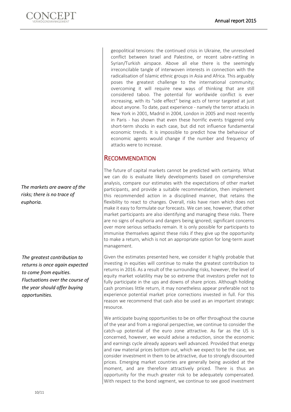

*The markets are aware of the risks; there is no trace of euphoria.*

*The greatest contribution to returns is once again expected to come from equities. Fluctuations over the course of the year should offer buying opportunities.*

geopolitical tensions: the continued crisis in Ukraine, the unresolved conflict between Israel and Palestine, or recent sabre-rattling in Syrian/Turkish airspace. Above all else there is the seemingly irreconcilable tangle of interwoven interests in connection with the radicalisation of Islamic ethnic groups in Asia and Africa. This arguably poses the greatest challenge to the international community; overcoming it will require new ways of thinking that are still considered taboo. The potential for worldwide conflict is ever increasing, with its "side effect" being acts of terror targeted at just about anyone. To date, past experience - namely the terror attacks in New York in 2001, Madrid in 2004, London in 2005 and most recently in Paris - has shown that even these horrific events triggered only short-term shocks in each case, but did not influence fundamental economic trends. It is impossible to predict how the behaviour of economic agents would change if the number and frequency of attacks were to increase.

#### **RECOMMENDATION**

The future of capital markets cannot be predicted with certainty. What we can do is evaluate likely developments based on comprehensive analysis, compare our estimates with the expectations of other market participants, and provide a suitable recommendation, then implement this recommended action in a disciplined manner, that retains the flexibility to react to changes. Overall, risks have risen which does not make it easy to formulate our forecasts. We can see, however, that other market participants are also identifying and managing these risks. There are no signs of euphoria and dangers being ignored; significant concerns over more serious setbacks remain. It is only possible for participants to immunise themselves against these risks if they give up the opportunity to make a return, which is not an appropriate option for long-term asset management.

Given the estimates presented here, we consider it highly probable that investing in equities will continue to make the greatest contribution to returns in 2016. As a result of the surrounding risks, however, the level of equity market volatility may be so extreme that investors prefer not to fully participate in the ups and downs of share prices. Although holding cash promises little return, it may nonetheless appear preferable not to experience potential market price corrections invested in full. For this reason we recommend that cash also be used as an important strategic resource.

We anticipate buying opportunities to be on offer throughout the course of the year and from a regional perspective, we continue to consider the catch-up potential of the euro zone attractive. As far as the US is concerned, however, we would advise a reduction, since the economic and earnings cycle already appears well advanced. Provided that energy and raw material prices bottom out, which we expect to be the case, we consider investment in them to be attractive, due to strongly discounted prices. Emerging market countries are generally being avoided at the moment, and are therefore attractively priced. There is thus an opportunity for the much greater risk to be adequately compensated. With respect to the bond segment, we continue to see good investment